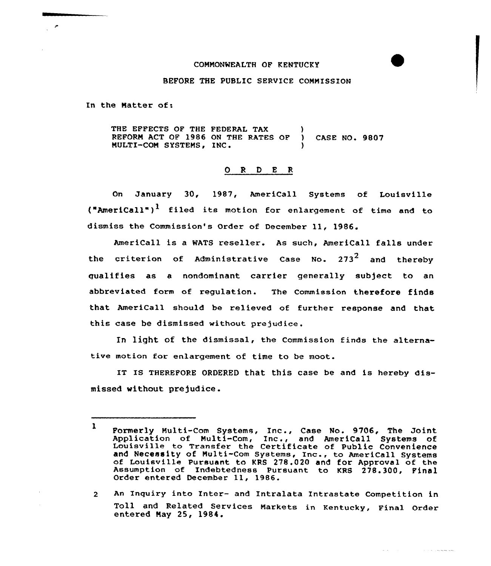## COMMONWEALTH OF KENTUCKY

## BEFORE THE PUBLIC SERVICE COMMISSION

In the Matter of:

THE EFFECTS OF THE FEDERAL TAX REFORM ACT OF 1986 ON THE RATES OF 1 CASE NO. 9807 NULTI-CON SYSTEMS, INC )

## 0 <sup>R</sup> <sup>D</sup> E <sup>R</sup>

On January 30, 1987, AmeriCall Systems of Louisville  $({"American)}^1$  filed its motion for enlargement of time and to dismiss the Commission's Order of December 11, 1986.

AmeriCall is a WATS reseller. As such, AmeriCall falls under the criterion of Administrative Case No.  $273^2$  and thereby qualifies as a nondominant carrier generally subject to an abbreviated form of regulation. The Commission therefore finds that AmeriCall should be relieved of further response and that, this case be dismissed without prejudice.

In light of the dismissal, the Commission finds the alternative motion for enlargement of time to be moot.

IT IS THEREFORE ORDERED that this case be and is hereby dismissed without prejudice.

An Inquiry into Inter- and Intralata Intrastate Competition in  $2<sup>1</sup>$ Toll and Related Services Markets in Kentucky, Final Order entered Nay 25, 1984.

> Alberta College and the community of the community

<sup>1</sup> Formerly Multi-Com Systems, Inc., Case No. 9706, The Joint Application of Multi-Com, Inc., case wo. 9700, The Soline<br>Louisville to Transfer the Certificate of Public Convenience Louisville to Transfer the Certificate of Public Convenience<br>and Necessity of Multi-Com Systems, Inc., to Americall Systems<br>of Louisville Pursuant to KRS 278.020 and for Approval of the Assumption of Indebtedness Pursuant to KRS 278.300, Final Order entered December 11, 1986.